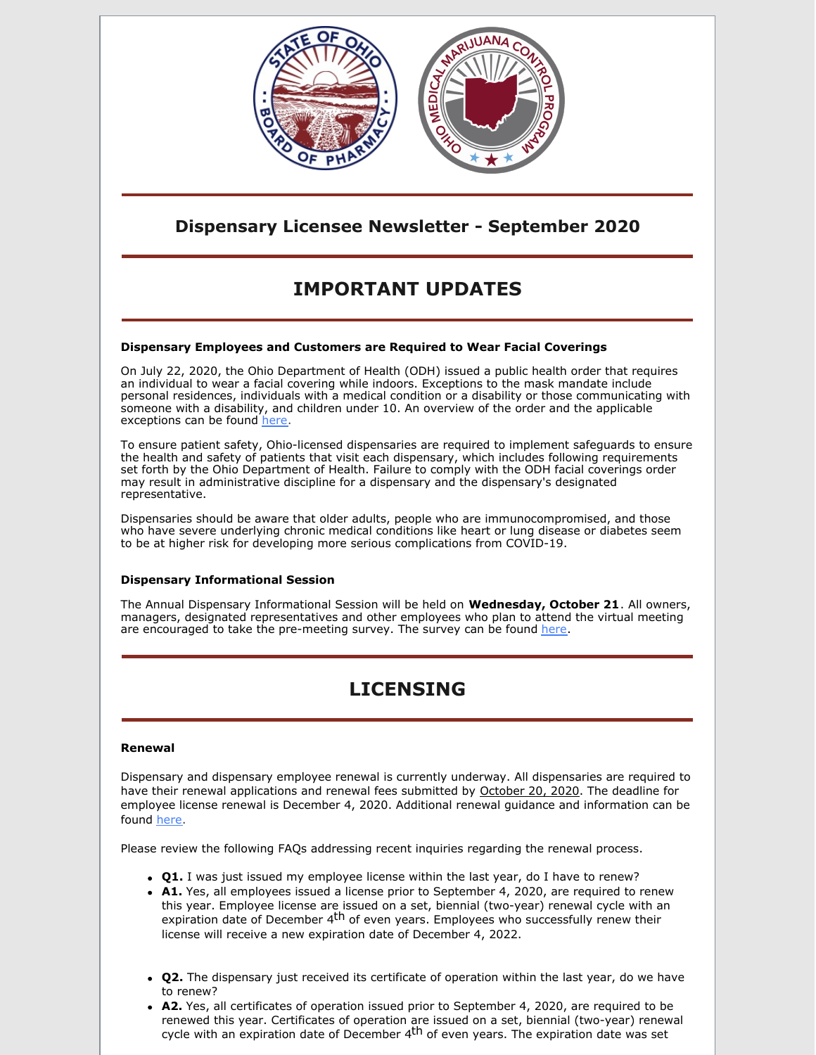

### **Dispensary Licensee Newsletter - September 2020**

# **IMPORTANT UPDATES**

### **Dispensary Employees and Customers are Required to Wear Facial Coverings**

On July 22, 2020, the Ohio Department of Health (ODH) issued a public health order that requires an individual to wear a facial covering while indoors. Exceptions to the mask mandate include personal residences, individuals with a medical condition or a disability or those communicating with someone with a disability, and children under 10. An overview of the order and the applicable exceptions can be found [here](https://governor.ohio.gov/wps/portal/gov/governor/media/news-and-media/covid19-update-07222020).

To ensure patient safety, Ohio-licensed dispensaries are required to implement safeguards to ensure the health and safety of patients that visit each dispensary, which includes following requirements set forth by the Ohio Department of Health. Failure to comply with the ODH facial coverings order may result in administrative discipline for a dispensary and the dispensary's designated representative.

Dispensaries should be aware that older adults, people who are immunocompromised, and those who have severe underlying chronic medical conditions like heart or lung disease or diabetes seem to be at higher risk for developing more serious complications from COVID-19.

### **Dispensary Informational Session**

The Annual Dispensary Informational Session will be held on **Wednesday, October 21**. All owners, managers, designated representatives and other employees who plan to attend the virtual meeting are encouraged to take the pre-meeting survey. The survey can be found [here](https://www.surveymonkey.com/r/YXSMD6N).

## **LICENSING**

### **Renewal**

Dispensary and dispensary employee renewal is currently underway. All dispensaries are required to have their renewal applications and renewal fees submitted by October 20, 2020. The deadline for employee license renewal is December 4, 2020. Additional renewal guidance and information can be found [here](https://www.medicalmarijuana.ohio.gov/Documents/LicenseeResources/Dispensary Licensee Resources/Dispensary & Employee License Renewal/Medical Marijuana Dispensary and Employee Renewal Information.pdf).

Please review the following FAQs addressing recent inquiries regarding the renewal process.

- **Q1.** I was just issued my employee license within the last year, do I have to renew?
- **A1.** Yes, all employees issued a license prior to September 4, 2020, are required to renew this year. Employee license are issued on a set, biennial (two-year) renewal cycle with an expiration date of December 4<sup>th</sup> of even years. Employees who successfully renew their license will receive a new expiration date of December 4, 2022.
- **Q2.** The dispensary just received its certificate of operation within the last year, do we have to renew?
- **A2.** Yes, all certificates of operation issued prior to September 4, 2020, are required to be renewed this year. Certificates of operation are issued on a set, biennial (two-year) renewal cycle with an expiration date of December 4<sup>th</sup> of even years. The expiration date was set